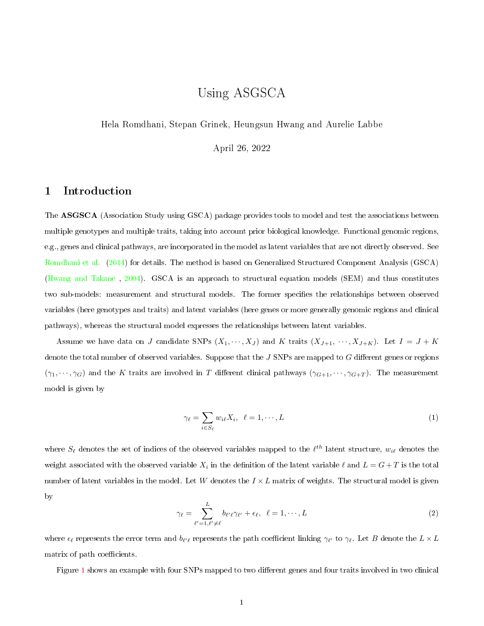# Using ASGSCA

Hela Romdhani, Stepan Grinek, Heungsun Hwang and Aurelie Labbe

April 26, 2022

## 1 Introduction

The ASGSCA (Association Study using GSCA) package provides tools to model and test the associations between multiple genotypes and multiple traits, taking into account prior biological knowledge. Functional genomic regions, e.g., genes and clinical pathways, are incorporated in the model as latent variables that are not directly observed. See [Romdhani et al.](#page-14-0) [\(2014\)](#page-14-0) for details. The method is based on Generalized Structured Component Analysis (GSCA) [\(Hwang and Takane](#page-14-1) , [2004\)](#page-14-1). GSCA is an approach to structural equation models (SEM) and thus constitutes two sub-models: measurement and structural models. The former specifies the relationships between observed variables (here genotypes and traits) and latent variables (here genes or more generally genomic regions and clinical pathways), whereas the structural model expresses the relationships between latent variables.

Assume we have data on J candidate SNPs  $(X_1, \dots, X_J)$  and K traits  $(X_{J+1}, \dots, X_{J+K})$ . Let  $I = J + K$ denote the total number of observed variables. Suppose that the  $J$  SNPs are mapped to  $G$  different genes or regions  $(\gamma_1, \dots, \gamma_G)$  and the K traits are involved in T different clinical pathways  $(\gamma_{G+1}, \dots, \gamma_{G+T})$ . The measurement model is given by

$$
\gamma_{\ell} = \sum_{i \in S_{\ell}} w_{i\ell} X_i, \quad \ell = 1, \cdots, L \tag{1}
$$

where  $S_\ell$  denotes the set of indices of the observed variables mapped to the  $\ell^{th}$  latent structure,  $w_{i\ell}$  denotes the weight associated with the observed variable  $X_i$  in the definition of the latent variable  $\ell$  and  $L = G + T$  is the total number of latent variables in the model. Let W denotes the  $I \times L$  matrix of weights. The structural model is given by

$$
\gamma_{\ell} = \sum_{\ell'=1,\ell'\neq\ell}^{L} b_{\ell'\ell}\gamma_{\ell'} + \epsilon_{\ell}, \quad \ell = 1,\cdots,L
$$
\n(2)

where  $\epsilon_\ell$  represents the error term and  $b_{\ell'\ell}$  represents the path coefficient linking  $\gamma_{\ell'}$  to  $\gamma_\ell$ . Let  $B$  denote the  $L\times L$ matrix of path coefficients.

Figure [1](#page-1-0) shows an example with four SNPs mapped to two different genes and four traits involved in two clinical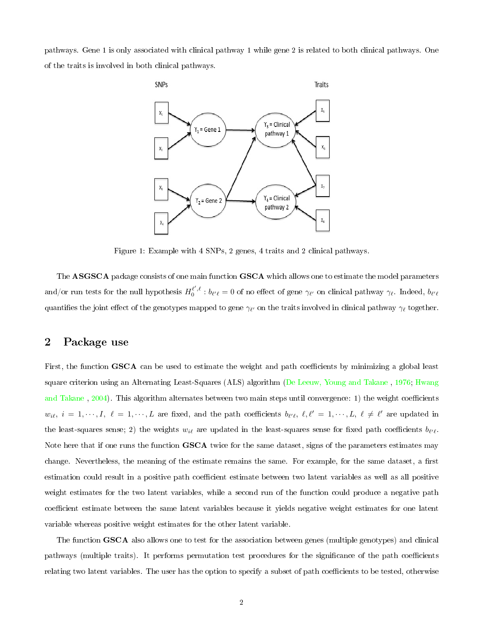pathways. Gene 1 is only associated with clinical pathway 1 while gene 2 is related to both clinical pathways. One of the traits is involved in both clinical pathways.



<span id="page-1-0"></span>Figure 1: Example with 4 SNPs, 2 genes, 4 traits and 2 clinical pathways.

The ASGSCA package consists of one main function GSCA which allows one to estimate the model parameters and/or run tests for the null hypothesis  $H_0^{\ell',\ell}: b_{\ell'\ell} = 0$  of no effect of gene  $\gamma_{\ell'}$  on clinical pathway  $\gamma_{\ell}.$  Indeed,  $b_{\ell'\ell}$ quantifies the joint effect of the genotypes mapped to gene  $\gamma_{\ell'}$  on the traits involved in clinical pathway  $\gamma_{\ell}$  together.

### 2 Package use

First, the function GSCA can be used to estimate the weight and path coefficients by minimizing a global least square criterion using an Alternating Least-Squares (ALS) algorithm [\(De Leeuw, Young and Takane](#page-14-2) , [1976;](#page-14-2) [Hwang](#page-14-1) [and Takane](#page-14-1), [2004\)](#page-14-1). This algorithm alternates between two main steps until convergence: 1) the weight coefficients  $w_{i\ell}, i = 1, \dots, I, \ell = 1, \dots, L$  are fixed, and the path coefficients  $b_{\ell'\ell}, \ell, \ell' = 1, \dots, L, \ell \neq \ell'$  are updated in the least-squares sense; 2) the weights  $w_{i\ell}$  are updated in the least-squares sense for fixed path coefficients  $b_{\ell'\ell}$ . Note here that if one runs the function GSCA twice for the same dataset, signs of the parameters estimates may change. Nevertheless, the meaning of the estimate remains the same. For example, for the same dataset, a first estimation could result in a positive path coefficient estimate between two latent variables as well as all positive weight estimates for the two latent variables, while a second run of the function could produce a negative path coefficient estimate between the same latent variables because it yields negative weight estimates for one latent variable whereas positive weight estimates for the other latent variable.

The function GSCA also allows one to test for the association between genes (multiple genotypes) and clinical pathways (multiple traits). It performs permutation test procedures for the significance of the path coefficients relating two latent variables. The user has the option to specify a subset of path coefficients to be tested, otherwise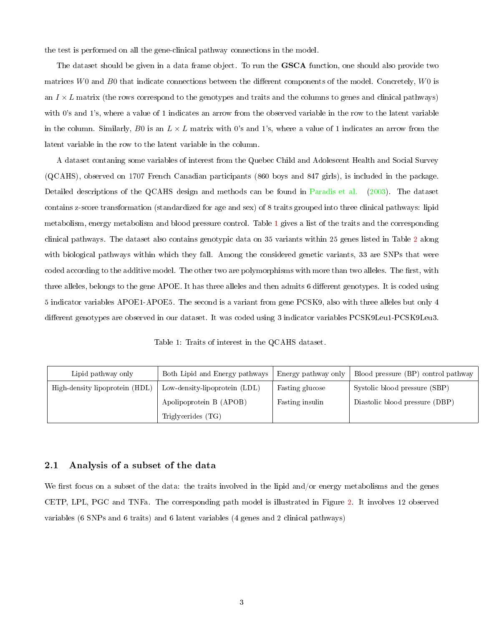the test is performed on all the gene-clinical pathway connections in the model.

The dataset should be given in a data frame object. To run the **GSCA** function, one should also provide two matrices  $W0$  and  $B0$  that indicate connections between the different components of the model. Concretely,  $W0$  is an  $I \times L$  matrix (the rows correspond to the genotypes and traits and the columns to genes and clinical pathways) with 0's and 1's, where a value of 1 indicates an arrow from the observed variable in the row to the latent variable in the column. Similarly, B0 is an  $L \times L$  matrix with 0's and 1's, where a value of 1 indicates an arrow from the latent variable in the row to the latent variable in the column.

A dataset contaning some variables of interest from the Quebec Child and Adolescent Health and Social Survey (QCAHS), observed on 1707 French Canadian participants (860 boys and 847 girls), is included in the package. Detailed descriptions of the QCAHS design and methods can be found in [Paradis et al.](#page-14-3) [\(2003\)](#page-14-3). The dataset contains z-score transformation (standardized for age and sex) of 8 traits grouped into three clinical pathways: lipid metabolism, energy metabolism and blood pressure control. Table [1](#page-2-0) gives a list of the traits and the corresponding clinical pathways. The dataset also contains genotypic data on 35 variants within 25 genes listed in Table [2](#page-3-0) along with biological pathways within which they fall. Among the considered genetic variants, 33 are SNPs that were coded according to the additive model. The other two are polymorphisms with more than two alleles. The first, with three alleles, belongs to the gene APOE. It has three alleles and then admits 6 different genotypes. It is coded using 5 indicator variables APOE1-APOE5. The second is a variant from gene PCSK9, also with three alleles but only 4 different genotypes are observed in our dataset. It was coded using 3 indicator variables PCSK9Leu1-PCSK9Leu3.

<span id="page-2-0"></span>Table 1: Traits of interest in the QCAHS dataset.

| Lipid pathway only             | Both Lipid and Energy pathways | Energy pathway only | Blood pressure (BP) control pathway |  |  |
|--------------------------------|--------------------------------|---------------------|-------------------------------------|--|--|
| High-density lipoprotein (HDL) | Low-density-lipoprotein (LDL)  | Fasting glucose     | Systolic blood pressure (SBP)       |  |  |
|                                | Apolipoprotein B (APOB)        | Fasting insulin     | Diastolic blood pressure (DBP)      |  |  |
|                                | Triglycerides (TG)             |                     |                                     |  |  |

#### 2.1 Analysis of a subset of the data

We first focus on a subset of the data: the traits involved in the lipid and/or energy metabolisms and the genes CETP, LPL, PGC and TNFa. The corresponding path model is illustrated in Figure [2.](#page-3-1) It involves 12 observed variables (6 SNPs and 6 traits) and 6 latent variables (4 genes and 2 clinical pathways)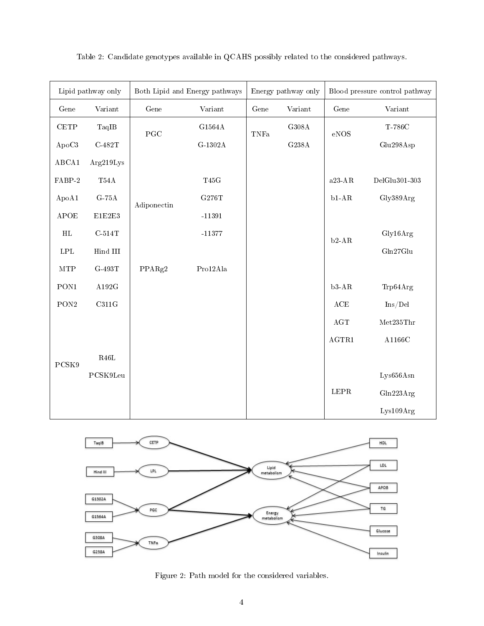| Lipid pathway only           |                         |                       | Both Lipid and Energy pathways |      | Energy pathway only | Blood pressure control pathway |               |  |
|------------------------------|-------------------------|-----------------------|--------------------------------|------|---------------------|--------------------------------|---------------|--|
| Gene                         | Variant                 | $\operatorname{Gene}$ | Variant                        | Gene | Variant             | $\operatorname{Gene}$          | Variant       |  |
| $\ensuremath{\mathsf{CETP}}$ | TaqIB                   | PGC                   | $\rm G1564A$                   | TNFa | $\rm G308A$         | $\rm eNOS$                     | T-786C        |  |
| ApoC3                        | $\text{C-482T}$         |                       | $\operatorname{G-1302A}$       |      | $\rm G238A$         |                                | Glu298Asp     |  |
| ABCA1                        | Arg219Lys               |                       |                                |      |                     |                                |               |  |
| $FABP-2$                     | $\rm T54A$              |                       | $\rm T45G$                     |      |                     | a $23$ -AR                     | DelGlu301-303 |  |
| ApoA1                        | $\operatorname{G-75A}$  | Adiponectin           | G276T                          |      |                     | $\rm b1\text{-}AR$             | Gly389Arg     |  |
| APOE                         | $\rm E1E2E3$            |                       | $-11391$                       |      |                     |                                |               |  |
| $\rm HL$                     | $C-514T$                |                       | $-11377$                       |      |                     | $b2-AR$                        | Gly16Arg      |  |
| LPL                          | $\rm{Hind}$ $\rm{III}$  |                       |                                |      |                     |                                | Gln27Glu      |  |
| <b>MTP</b>                   | $\operatorname{G-493T}$ | PPARg2                | Pro12Ala                       |      |                     |                                |               |  |
| PON1                         | $\rm A192G$             |                       |                                |      |                     | $b3-AR$                        | Trp64Arg      |  |
| $\operatorname{PON2}$        | C311G                   |                       |                                |      |                     | $\operatorname{ACE}$           | Ins/Del       |  |
|                              |                         |                       |                                |      |                     | $\rm{AGT}$                     | Met235Thr     |  |
|                              |                         |                       |                                |      |                     | AGTR1                          | A1166C        |  |
| PCSK9                        | $\rm R46L$              |                       |                                |      |                     |                                |               |  |
|                              | PCSK9Leu                |                       |                                |      |                     |                                | Lys656Asn     |  |
|                              |                         |                       |                                |      |                     | $\tt LEPR$                     | Gln223Arg     |  |
|                              |                         |                       |                                |      |                     |                                | Lys109Arg     |  |

<span id="page-3-0"></span>Table 2: Candidate genotypes available in QCAHS possibly related to the considered pathways.



<span id="page-3-1"></span>Figure 2: Path model for the considered variables.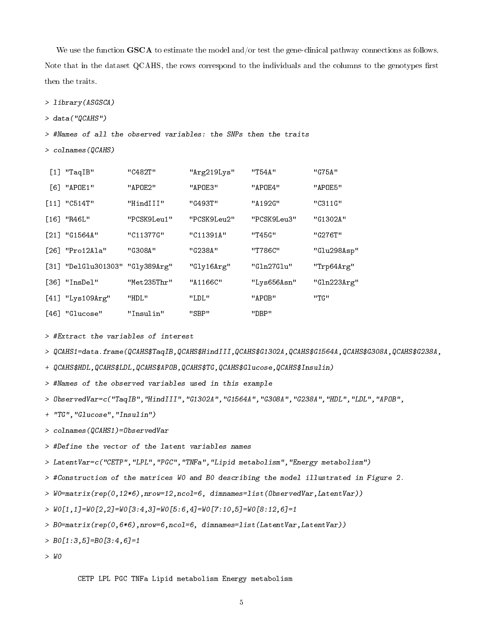We use the function GSCA to estimate the model and/or test the gene-clinical pathway connections as follows. Note that in the dataset QCAHS, the rows correspond to the individuals and the columns to the genotypes first then the traits.

> library(ASGSCA)

> data("QCAHS")

> #Names of all the observed variables: the SNPs then the traits

> colnames(QCAHS)

| $[1]$ "TaqIB"                   | "C482T"     | "Arg219Lys" | "T54A"      | "G75A"      |
|---------------------------------|-------------|-------------|-------------|-------------|
| [6] "APOE1"                     | "APOE2"     | "APOE3"     | "APOE4"     | "APOE5"     |
| $[11]$ "C514T"                  | "HindIII"   | "G493T"     | "A192G"     | "C311G"     |
| [16] "R46L"                     | "PCSK9Leu1" | "PCSK9Leu2" | "PCSK9Leu3" | "G1302A"    |
| $[21]$ "G1564A"                 | "C11377G"   | "C11391A"   | "T45G"      | "G276T"     |
| [26] "Pro12Ala"                 | "G308A"     | "G238A"     | "T786C"     | "Glu298Asp" |
| [31] "DelGlu301303" "Gly389Arg" |             | "Gly16Arg"  | "Gln27Glu"  | "Trp64Arg"  |
| $[36]$ "InsDel"                 | "Met235Thr" | "A1166C"    | "Lys656Asn" | "Gln223Arg" |
| $[41]$ "Lys109Arg"              | "HDL"       | "LDL"       | "APOB"      | "TG"        |
| [46] "Glucose"                  | "Insulin"   | "SBP"       | "DBP"       |             |

> #Extract the variables of interest

> QCAHS1=data.frame(QCAHS\$TaqIB,QCAHS\$HindIII,QCAHS\$G1302A,QCAHS\$G1564A,QCAHS\$G308A,QCAHS\$G238A,

+ QCAHS\$HDL,QCAHS\$LDL,QCAHS\$APOB,QCAHS\$TG,QCAHS\$Glucose,QCAHS\$Insulin)

> #Names of the observed variables used in this example

> ObservedVar=c("TaqIB","HindIII","G1302A","G1564A","G308A","G238A","HDL","LDL","APOB",

+ "TG","Glucose","Insulin")

> colnames(QCAHS1)=ObservedVar

> #Define the vector of the latent variables names

> LatentVar=c("CETP","LPL","PGC","TNFa","Lipid metabolism","Energy metabolism")

> #Construction of the matrices W0 and B0 describing the model illustrated in Figure 2.

> W0=matrix(rep(0,12\*6),nrow=12,ncol=6, dimnames=list(ObservedVar,LatentVar))

> W0[1,1]=W0[2,2]=W0[3:4,3]=W0[5:6,4]=W0[7:10,5]=W0[8:12,6]=1

> B0=matrix(rep(0,6\*6),nrow=6,ncol=6, dimnames=list(LatentVar,LatentVar))

 $\geq BO[1:3,5]=BO[3:4,6]=1$ 

> W0

CETP LPL PGC TNFa Lipid metabolism Energy metabolism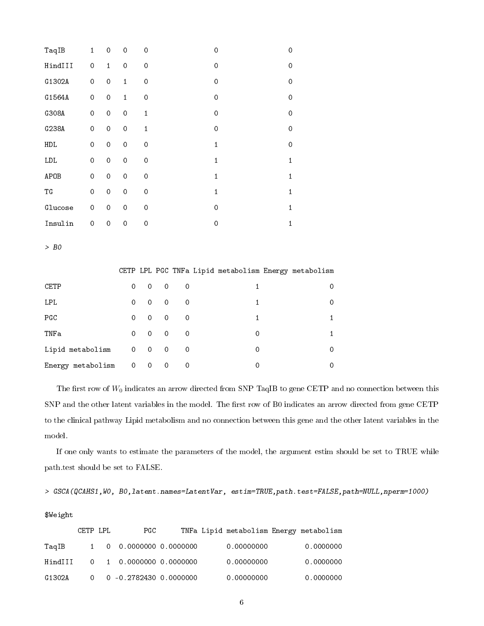| TaqIB                    | $\mathbf{1}$        | $\mathbf 0$ | $\hbox{O}$          | $\hbox{O}$   |                     |             | $\mathbf 0$  |                                                      | $\mathbf 0$         |
|--------------------------|---------------------|-------------|---------------------|--------------|---------------------|-------------|--------------|------------------------------------------------------|---------------------|
| HindIII                  | $\hbox{O}$          | $\mathbf 1$ | $\hbox{O}$          | $\hbox{O}$   |                     |             | $\mathsf O$  |                                                      | $\mathbf 0$         |
| G1302A                   | $\hbox{O}$          | $\mathbf 0$ | $\mathbf{1}$        | $\mathbf 0$  |                     |             | $\mathbf 0$  |                                                      | $\mathsf{O}\xspace$ |
| G1564A                   | $\mathsf{O}\xspace$ | $\mbox{O}$  | $\mathbf{1}$        | $\mathbf 0$  |                     |             | $\mathbf 0$  |                                                      | $\mbox{O}$          |
| G308A                    | $\mathsf{O}\xspace$ | $\hbox{O}$  | $\hbox{O}$          | $\mathbf 1$  |                     |             | $\mathbf 0$  |                                                      | $\mathsf{O}\xspace$ |
| G238A                    | $\mbox{O}$          | $\mbox{O}$  | $\hbox{O}$          | $\mathbf{1}$ |                     |             | $\mathbf 0$  |                                                      | $\mbox{O}$          |
| ${\tt HDL}$              | $\hbox{O}$          | $\mathbf 0$ | $\mathsf{O}\xspace$ | $\mathbf 0$  |                     |             | $\mathbf 1$  |                                                      | $\mathbf 0$         |
| ${\tt LDL}$              | $\mathsf{O}\xspace$ | $\mathbf 0$ | $\mathsf{O}\xspace$ | $\mathbf 0$  |                     |             | $\mathbf{1}$ |                                                      | $\mathbf{1}$        |
| APOB                     | $\mathsf{O}\xspace$ | $\hbox{O}$  | $\mathsf{O}\xspace$ | $\mathbf 0$  |                     |             |              | $\mathbf 1$                                          | $\mathbf 1$         |
| $\mathop{\text{\rm TG}}$ | $\hbox{O}$          | $\hbox{O}$  | $\hbox{O}$          | $\mathbf 0$  |                     |             | $\mathbf 1$  |                                                      | $\mathbf 1$         |
| Glucose                  | $\mathsf{O}\xspace$ | $\hbox{O}$  | $\hbox{O}$          | $\mathbf 0$  |                     |             | $\mbox{O}$   |                                                      | $\mathbf 1$         |
| Insulin                  | $\hbox{O}$          | $\mathsf O$ | $\mathbf 0$         | $\mathsf O$  |                     |             | $\mathbf 0$  |                                                      | $\mathbf 1$         |
| $>$ BO                   |                     |             |                     |              |                     |             |              |                                                      |                     |
|                          |                     |             |                     |              |                     |             |              | CETP LPL PGC TNFa Lipid metabolism Energy metabolism |                     |
| CETP                     |                     |             | $\mathbf 0$         | $\mathbf 0$  | $\hbox{O}$          | $\mathbf 0$ |              | $\mathbf{1}$                                         | $\mathbf 0$         |
| LPL                      |                     |             | $\mbox{O}$          | $\hbox{O}$   | $\hbox{O}$          | $\hbox{O}$  |              | $\mathbf{1}$                                         | $\mathbf 0$         |
| PGC                      |                     |             | $\mathsf{O}\xspace$ | $\mathbf 0$  | $\hbox{O}$          | $\hbox{O}$  |              | $\mathbf{1}$                                         | $\mathbf{1}$        |
| TNFa                     |                     |             | $\hbox{O}$          | $\mathbf 0$  | $\mathbf 0$         | $\hbox{O}$  |              | $\mathsf{O}\xspace$                                  | $\mathbf{1}$        |
| Lipid metabolism         |                     |             | $\mathsf{O}\xspace$ | $\mathbf 0$  | $\hbox{O}$          | $\mathbf 0$ |              | 0                                                    | $\circ$             |
| Energy metabolism        |                     |             | $\mathsf{O}\xspace$ | $\mathbf 0$  | $\mathsf{O}\xspace$ | $\mathbf 0$ |              | $\hbox{O}$                                           | 0                   |
|                          |                     |             |                     |              |                     |             |              |                                                      |                     |

The first row of  $W_0$  indicates an arrow directed from SNP TaqIB to gene CETP and no connection between this SNP and the other latent variables in the model. The first row of B0 indicates an arrow directed from gene CETP to the clinical pathway Lipid metabolism and no connection between this gene and the other latent variables in the model.

If one only wants to estimate the parameters of the model, the argument estim should be set to TRUE while path.test should be set to FALSE.

```
> GSCA(QCAHS1,W0, B0,latent.names=LatentVar, estim=TRUE,path.test=FALSE,path=NULL,nperm=1000)
```
#### \$Weight

|         | CETP LPL | PGC                                          |            | TNFa Lipid metabolism Energy metabolism |
|---------|----------|----------------------------------------------|------------|-----------------------------------------|
| TagIB   |          | 1 0 0.0000000 0.0000000                      | 0.00000000 | 0.0000000                               |
| HindIII |          | $0 \quad 1 \quad 0.0000000 \quad 0.0000000$  | 0.00000000 | 0.0000000                               |
| G1302A  |          | $0 \quad 0 \quad -0.2782430 \quad 0.0000000$ | 0.00000000 | 0.0000000                               |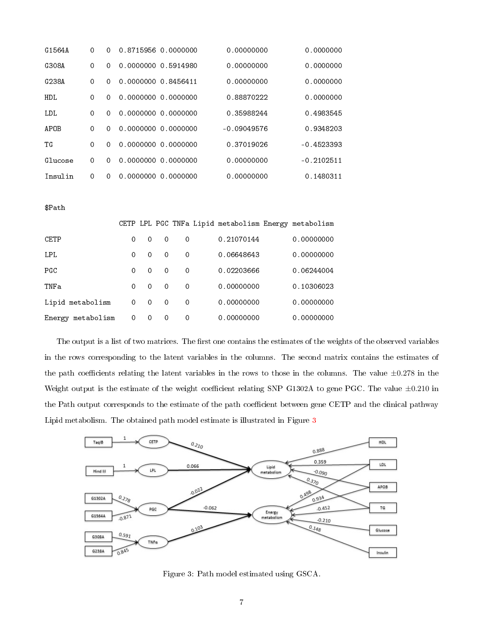| G1564A  | 0        | 0        | 0.8715956 0.0000000 | 0.00000000    | 0.0000000    |
|---------|----------|----------|---------------------|---------------|--------------|
| G308A   | 0        | 0        | 0.0000000 0.5914980 | 0.00000000    | 0.0000000    |
| G238A   | 0        | $\Omega$ | 0.0000000 0.8456411 | 0.00000000    | 0.0000000    |
| HDL.    | $\Omega$ | $\Omega$ | 0.0000000 0.0000000 | 0.88870222    | 0.0000000    |
| LDL.    | $\Omega$ | $\Omega$ | 0.0000000 0.0000000 | 0.35988244    | 0.4983545    |
| APOB    | 0        | $\Omega$ | 0.0000000 0.0000000 | $-0.09049576$ | 0.9348203    |
| TG      | $\Omega$ | $\Omega$ | 0.0000000 0.0000000 | 0.37019026    | $-0.4523393$ |
| Glucose | 0        | $\Omega$ | 0.0000000 0.0000000 | 0.00000000    | $-0.2102511$ |
| Insulin | 0        | $\Omega$ | 0.0000000 0.0000000 | 0.00000000    | 0.1480311    |

\$Path

|                   |          |          |          |          | CETP LPL PGC TNFa Lipid metabolism Energy metabolism |            |
|-------------------|----------|----------|----------|----------|------------------------------------------------------|------------|
| CETP              | $\Omega$ | 0        | $\Omega$ | 0        | 0.21070144                                           | 0.00000000 |
| LPL.              | $\Omega$ | 0        | $\Omega$ | $\Omega$ | 0.06648643                                           | 0.00000000 |
| PGC               | $\Omega$ | 0        | $\Omega$ | $\Omega$ | 0.02203666                                           | 0.06244004 |
| TNFa              | $\Omega$ | 0        | $\Omega$ | 0        | 0.00000000                                           | 0.10306023 |
| Lipid metabolism  | $\Omega$ | $\Omega$ | $\Omega$ | $\Omega$ | 0.00000000                                           | 0.00000000 |
| Energy metabolism | 0        | 0        | 0        | 0        | 0.00000000                                           | 0.00000000 |

The output is a list of two matrices. The first one contains the estimates of the weights of the observed variables in the rows corresponding to the latent variables in the columns. The second matrix contains the estimates of the path coefficients relating the latent variables in the rows to those in the columns. The value  $\pm 0.278$  in the Weight output is the estimate of the weight coefficient relating SNP G1302A to gene PGC. The value  $\pm 0.210$  in the Path output corresponds to the estimate of the path coefficient between gene CETP and the clinical pathway Lipid metabolism. The obtained path model estimate is illustrated in Figure [3](#page-6-0)



<span id="page-6-0"></span>Figure 3: Path model estimated using GSCA.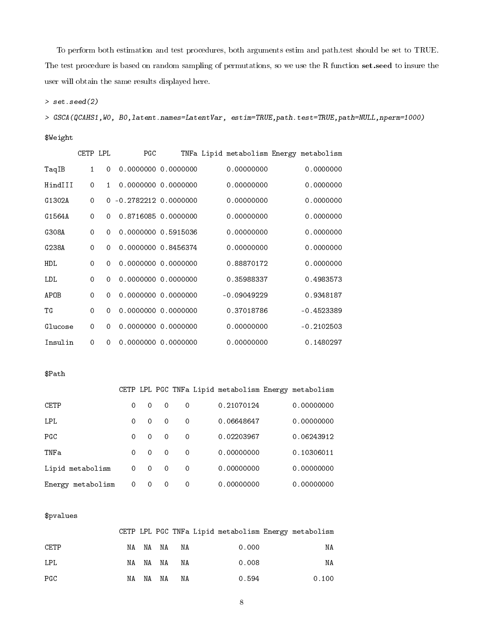To perform both estimation and test procedures, both arguments estim and path.test should be set to TRUE. The test procedure is based on random sampling of permutations, so we use the R function set.seed to insure the user will obtain the same results displayed here.

> set.seed(2)

> GSCA(QCAHS1,W0, B0,latent.names=LatentVar, estim=TRUE,path.test=TRUE,path=NULL,nperm=1000)

\$Weight

|            | CETP LPL     |              | PGC                    |  |               | TNFa Lipid metabolism Energy metabolism |
|------------|--------------|--------------|------------------------|--|---------------|-----------------------------------------|
| TaqIB      | $\mathbf{1}$ | 0            | 0.0000000 0.0000000    |  | 0.00000000    | 0.0000000                               |
| HindIII    | $\Omega$     | $\mathbf{1}$ | 0.0000000 0.0000000    |  | 0.00000000    | 0.0000000                               |
| G1302A     | 0            |              | $0 - 0.27822120000000$ |  | 0.00000000    | 0.0000000                               |
| G1564A     | 0            | $\Omega$     | 0.8716085 0.0000000    |  | 0.00000000    | 0.0000000                               |
| G308A      | 0            | 0            | 0.0000000 0.5915036    |  | 0.00000000    | 0.0000000                               |
| G238A      | 0            | 0            | 0.0000000 0.8456374    |  | 0.00000000    | 0.0000000                               |
| <b>HDL</b> | $\Omega$     | 0            | 0.0000000 0.0000000    |  | 0.88870172    | 0.0000000                               |
| LDL        | $\Omega$     | 0            | 0.0000000 0.0000000    |  | 0.35988337    | 0.4983573                               |
| APOB       | $\mathbf 0$  | 0            | 0.0000000 0.0000000    |  | $-0.09049229$ | 0.9348187                               |
| TG         | $\Omega$     | 0            | 0.0000000 0.0000000    |  | 0.37018786    | $-0.4523389$                            |
| Glucose    | 0            | $\Omega$     | 0.0000000 0.0000000    |  | 0.00000000    | $-0.2102503$                            |
| Insulin    | 0            | 0            | 0.0000000 0.0000000    |  | 0.00000000    | 0.1480297                               |

\$Path

|                      |          |          |             |          | CETP LPL PGC TNFa Lipid metabolism Energy metabolism |            |
|----------------------|----------|----------|-------------|----------|------------------------------------------------------|------------|
| CETP                 | 0        | 0        | $\Omega$    | 0        | 0.21070124                                           | 0.00000000 |
| LPL.                 | $\Omega$ | 0        | $\Omega$    | $\Omega$ | 0.06648647                                           | 0.00000000 |
| PGC                  | $\Omega$ | $\Omega$ | $\Omega$    | $\Omega$ | 0.02203967                                           | 0.06243912 |
| TNFa                 | $\Omega$ | $\Omega$ | $\Omega$    | $\Omega$ | 0.00000000                                           | 0.10306011 |
| Lipid metabolism     | 0        | 0        | $\mathbf 0$ | $\Omega$ | 0.00000000                                           | 0.00000000 |
| metabolism<br>Energy | 0        | 0        | $\Omega$    | 0        | 0.00000000                                           | 0.00000000 |

#### \$pvalues

|            |          |             |       | CETP LPL PGC TNFa Lipid metabolism Energy metabolism |
|------------|----------|-------------|-------|------------------------------------------------------|
| CETP       |          | NA NA NA NA | 0.000 | NA                                                   |
| <b>LPL</b> | NA NA NA | NA          | 0.008 | NA                                                   |
| PGC        | NA NA NA | NA          | 0.594 | 0.100                                                |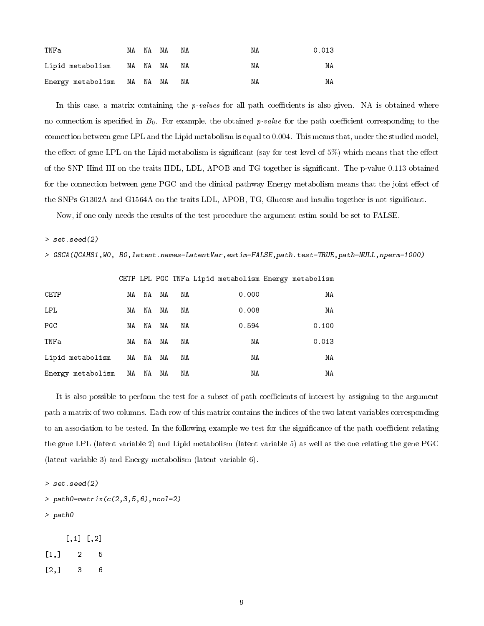| TNFa                       | NA NA NA | ΝA | ΝA | 0.013 |
|----------------------------|----------|----|----|-------|
| Lipid metabolism NA NA NA  |          | NA | ΝA | ΝA    |
| Energy metabolism NA NA NA |          | NA | ΝA | ΝA    |

In this case, a matrix containing the *p-values* for all path coefficients is also given. NA is obtained where no connection is specified in  $B_0$ . For example, the obtained *p-value* for the path coefficient corresponding to the connection between gene LPL and the Lipid metabolism is equal to 0.004. This means that, under the studied model, the effect of gene LPL on the Lipid metabolism is significant (say for test level of 5%) which means that the effect of the SNP Hind III on the traits HDL, LDL, APOB and TG together is signicant. The p-value 0.113 obtained for the connection between gene PGC and the clinical pathway Energy metabolism means that the joint effect of the SNPs G1302A and G1564A on the traits LDL, APOB, TG, Glucose and insulin together is not signicant.

Now, if one only needs the results of the test procedure the argument estim sould be set to FALSE.

#### $>$  set.seed(2)

> GSCA(QCAHS1,W0, B0,latent.names=LatentVar,estim=FALSE,path.test=TRUE,path=NULL,nperm=1000)

|                   |    |    |    |    | CETP LPL PGC TNFa Lipid metabolism Energy metabolism |       |
|-------------------|----|----|----|----|------------------------------------------------------|-------|
| CETP              | NA | ΝA | ΝA | ΝA | 0.000                                                | ΝA    |
| <b>LPL</b>        | ΝA | ΝA | ΝA | ΝA | 0.008                                                | ΝA    |
| PGC               | NA | NA | ΝA | ΝA | 0.594                                                | 0.100 |
| TNFa              | ΝA | ΝA | ΝA | ΝA | ΝA                                                   | 0.013 |
| Lipid metabolism  | NA | NA | ΝA | ΝA | ΝA                                                   | ΝA    |
| Energy metabolism | NA | NA | ΝA | ΝA | ΝA                                                   | ΝA    |

It is also possible to perform the test for a subset of path coefficients of interest by assigning to the argument path a matrix of two columns. Each row of this matrix contains the indices of the two latent variables corresponding to an association to be tested. In the following example we test for the significance of the path coefficient relating the gene LPL (latent variable 2) and Lipid metabolism (latent variable 5) as well as the one relating the gene PGC (latent variable 3) and Energy metabolism (latent variable 6).

> set.seed(2)

```
> path0=matrix(c(2,3,5,6), ncol=2)
```
> path0

[,1] [,2]  $[1,] 2 5$ [2,] 3 6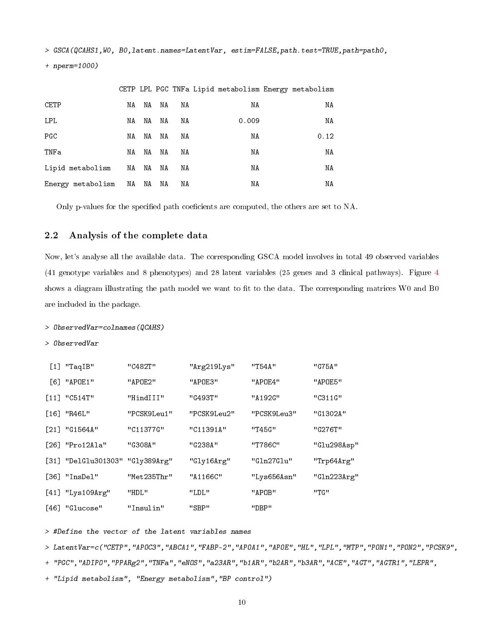> GSCA(QCAHS1,W0, B0,latent.names=LatentVar, estim=FALSE,path.test=TRUE,path=path0,

+ nperm=1000)

|                   |          |    |    |    |       | CETP LPL PGC TNFa Lipid metabolism Energy metabolism |  |
|-------------------|----------|----|----|----|-------|------------------------------------------------------|--|
| CETP              | ΝA       | NA | NA | ΝA | ΝA    | ΝA                                                   |  |
| LPL               | NA       | NA | NA | ΝA | 0.009 | ΝA                                                   |  |
| PGC               | ΝA       | NA | NA | ΝA | ΝA    | 0.12                                                 |  |
| TNFa              | NA       | NA | NA | ΝA | ΝA    | ΝA                                                   |  |
| Lipid metabolism  | NA       | NA | NA | ΝA | NA    | NA                                                   |  |
| Energy metabolism | NA NA NA |    |    | ΝA | ΝA    | ΝA                                                   |  |

Only p-values for the specified path coeficients are computed, the others are set to NA.

#### 2.2 Analysis of the complete data

Now, let's analyse all the available data. The corresponding GSCA model involves in total 49 observed variables (41 genotype variables and 8 phenotypes) and 28 latent variables (25 genes and 3 clinical pathways). Figure [4](#page-11-0) shows a diagram illustrating the path model we want to fit to the data. The corresponding matrices W0 and B0 are included in the package.

#### > ObservedVar=colnames(QCAHS)

> ObservedVar

| $[1]$ "TaqIB"       | "C482T"     | "Arg219Lys" | "T54A"      | "G75A"      |
|---------------------|-------------|-------------|-------------|-------------|
| [6] "APOE1"         | "APOE2"     | "APOE3"     | "APOE4"     | "APOE5"     |
| $[11]$ "C514T"      | "HindIII"   | "G493T"     | "A192G"     | "C311G"     |
| $[16]$ "R46L"       | "PCSK9Leu1" | "PCSK9Leu2" | "PCSK9Leu3" | "G1302A"    |
| $[21]$ "G1564A"     | "C11377G"   | "C11391A"   | "T45G"      | "G276T"     |
| $[26]$ "Pro12Ala"   | "G308A"     | "G238A"     | "T786C"     | "Glu298Asp" |
| [31] "DelGlu301303" | "Gly389Arg" | "Gly16Arg"  | "Gln27Glu"  | "Trp64Arg"  |
| $[36]$ "InsDel"     | "Met235Thr" | "A1166C"    | "Lys656Asn" | "Gln223Arg" |
| [41] "Lys109Arg"    | "HDL"       | "LDL"       | "APOB"      | " TG"       |
| $[46]$ "Glucose"    | "Insulin"   | "SBP"       | "DBP"       |             |

> #Define the vector of the latent variables names

> LatentVar=c("CETP","APOC3","ABCA1","FABP-2","APOA1","APOE","HL","LPL","MTP","PON1","PON2","PCSK9",

+ "PGC","ADIPO","PPARg2","TNFa","eNOS","a23AR","b1AR","b2AR","b3AR","ACE","AGT","AGTR1","LEPR",

+ "Lipid metabolism", "Energy metabolism","BP control")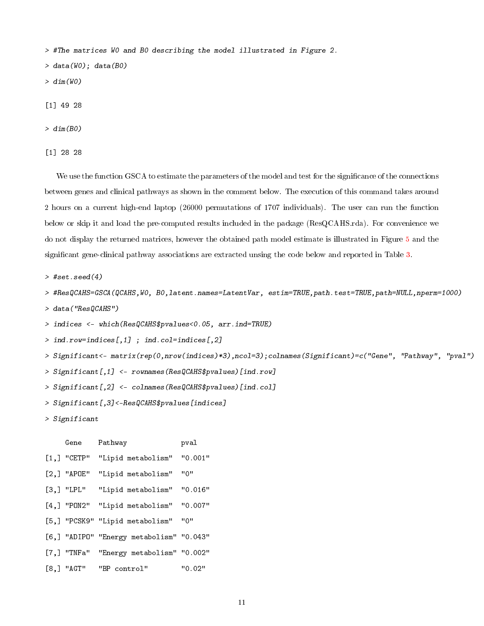> #The matrices W0 and B0 describing the model illustrated in Figure 2.

 $> data(W0)$ ; data(BO)

 $> dim(WO)$ 

[1] 49 28

> dim(B0)

[1] 28 28

We use the function GSCA to estimate the parameters of the model and test for the significance of the connections between genes and clinical pathways as shown in the comment below. The execution of this command takes around 2 hours on a current high-end laptop (26000 permutations of 1707 individuals). The user can run the function below or skip it and load the pre-computed results included in the package (ResQCAHS.rda). For convenience we do not display the returned matrices, however the obtained path model estimate is illustrated in Figure [5](#page-12-0) and the significant gene-clinical pathway associations are extracted unsing the code below and reported in Table [3.](#page-13-0)

 $>$  #set.seed(4)

```
> #ResQCAHS=GSCA(QCAHS,W0, B0,latent.names=LatentVar, estim=TRUE,path.test=TRUE,path=NULL,nperm=1000)
```
> data("ResQCAHS")

> indices <- which(ResQCAHS\$pvalues<0.05, arr.ind=TRUE)

- $>$  ind.row=indices[,1] ; ind.col=indices[,2]
- > Significant<- matrix(rep(0,nrow(indices)\*3),ncol=3);colnames(Significant)=c("Gene", "Pathway", "pval")
- > Significant[,1] <- rownames(ResQCAHS\$pvalues)[ind.row]
- > Significant[,2] <- colnames(ResQCAHS\$pvalues)[ind.col]
- > Significant[,3]<-ResQCAHS\$pvalues[indices]
- > Significant

| Gene          | Pathway                                  | pval    |
|---------------|------------------------------------------|---------|
| $[1,]$ "CETP" | "Lipid metabolism"                       | "0.001" |
| $[2,]$ "APOE" | "Lipid metabolism"                       | " በ "   |
| $[3,]$ "LPL"  | "Lipid metabolism"                       | "0.016" |
|               | [4,] "PON2" "Lipid metabolism"           | "0.007" |
|               | [5,] "PCSK9" "Lipid metabolism"          | " 0"    |
|               | [6,] "ADIPO" "Energy metabolism" "0.043" |         |
|               | [7,] "TNFa" "Energy metabolism" "0.002"  |         |
| [8,] "AGT"    | "BP control"                             | "0.02"  |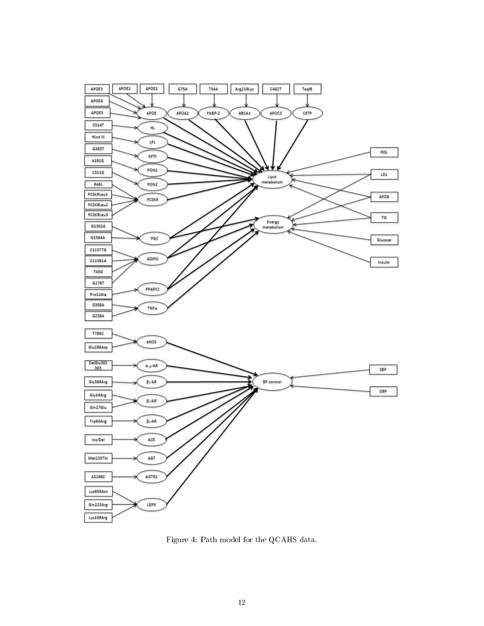

<span id="page-11-0"></span>Figure 4: Path model for the QCAHS data.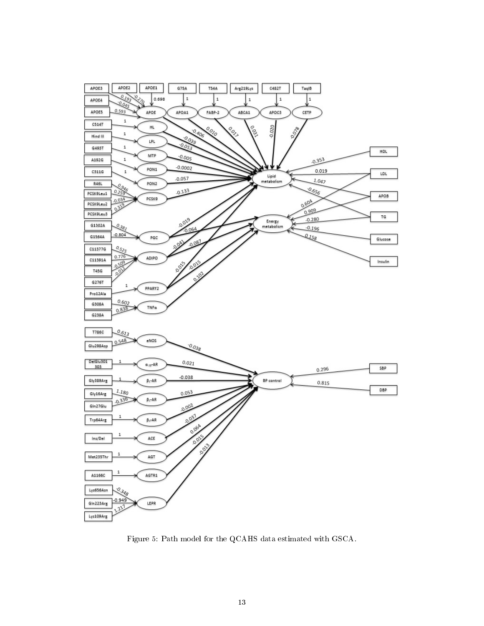

<span id="page-12-0"></span>Figure 5: Path model for the QCAHS data estimated with GSCA.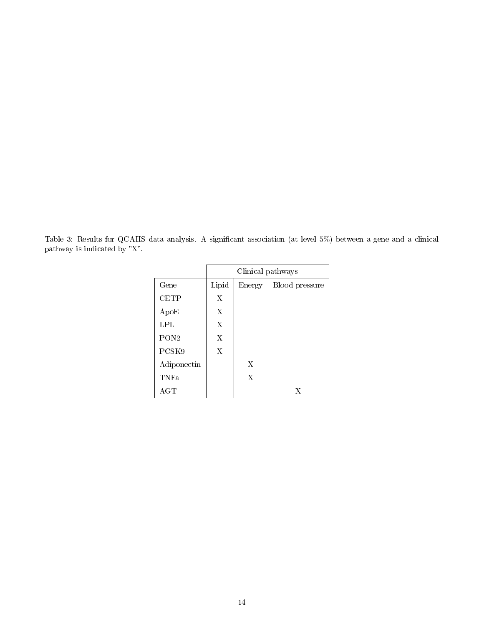<span id="page-13-0"></span>Table 3: Results for QCAHS data analysis. A significant association (at level 5%) between a gene and a clinical pathway is indicated by "X".

|                  | Clinical pathways |        |                |  |
|------------------|-------------------|--------|----------------|--|
| Gene             | Lipid             | Energy | Blood pressure |  |
| CETP             | $\mathbf{X}$      |        |                |  |
| ApoE             | X                 |        |                |  |
| LPL              | X                 |        |                |  |
| PON <sub>2</sub> | X                 |        |                |  |
| PCSK9            | X                 |        |                |  |
| Adiponectin      |                   | X      |                |  |
| <b>TNFa</b>      |                   | X      |                |  |
| AGT              |                   |        | X              |  |